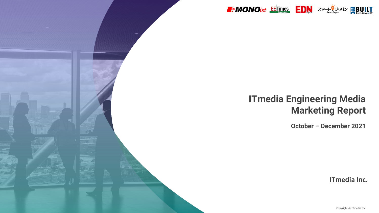

# **ITmedia Engineering Media Marketing Report**

**October – December 2021**

**ITmedia Inc.**

Copyright © ITmedia Inc.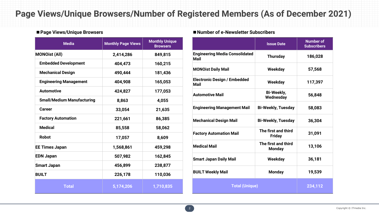### **Page Views/Unique Browsers/Number of Registered Members (As of December 2021)**

| <b>Media</b>                      | <b>Monthly Page Views</b> | <b>Monthly Unique</b><br><b>Browsers</b> |
|-----------------------------------|---------------------------|------------------------------------------|
| <b>MONOist (All)</b>              | 2,414,286                 | 849,815                                  |
| <b>Embedded Development</b>       | 404,473                   | 160,215                                  |
| <b>Mechanical Design</b>          | 490,444                   | 181,436                                  |
| <b>Engineering Management</b>     | 404,908                   | 165,053                                  |
| <b>Automotive</b>                 | 424,827                   | 177,053                                  |
| <b>Small/Medium Manufacturing</b> | 8,863                     | 4,055                                    |
| <b>Career</b>                     | 33,054                    | 21,635                                   |
| <b>Factory Automation</b>         | 221,661                   | 86,385                                   |
| <b>Medical</b>                    | 85,558                    | 58,062                                   |
| <b>Robot</b>                      | 17,057                    | 8,609                                    |
| <b>EE Times Japan</b>             | 1,568,861                 | 459,298                                  |
| <b>EDN Japan</b>                  | 507,982                   | 162,845                                  |
| <b>Smart Japan</b>                | 456,899                   | 238,877                                  |
| <b>BUILT</b>                      | 226,178                   | 110,036                                  |
| <b>Total</b>                      | 5,174,206                 | 1,710,835                                |

### ■**Page Views/Unique Browsers** ■**Number of e-Newsletter Subscribers**

|                                               | <b>Issue Date</b>                    | <b>Number of</b><br><b>Subscribers</b> |
|-----------------------------------------------|--------------------------------------|----------------------------------------|
| <b>Engineering Media Consolidated</b><br>Mail | <b>Thursday</b>                      | 186,028                                |
| <b>MONOist Daily Mail</b>                     | Weekday                              | 57,568                                 |
| <b>Electronic Design / Embedded</b><br>Mail   | Weekday                              | 117,397                                |
| <b>Automotive Mail</b>                        | <b>Bi-Weekly,</b><br>Wednesday       | 56,848                                 |
| <b>Engineering Management Mail</b>            | <b>Bi-Weekly, Tuesday</b>            | 58,083                                 |
| <b>Mechanical Design Mail</b>                 | <b>Bi-Weekly, Tuesday</b>            | 36,304                                 |
| <b>Factory Automation Mail</b>                | The first and third<br><b>Friday</b> | 31,091                                 |
| <b>Medical Mail</b>                           | The first and third<br><b>Monday</b> | 13,106                                 |
| <b>Smart Japan Daily Mail</b>                 | Weekday                              | 36,181                                 |
| <b>BUILT Weekly Mail</b>                      | <b>Monday</b>                        | 19,539                                 |
| <b>Total (Unique)</b>                         |                                      | 234,112                                |

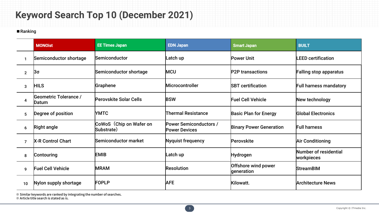# **Keyword Search Top 10 (December 2021)**

### ■Ranking

|                | <b>MONOist</b>                        | <b>EE Times Japan</b>                 | <b>EDN Japan</b>                                      | <b>Smart Japan</b>                | <b>BUILT</b>                        |
|----------------|---------------------------------------|---------------------------------------|-------------------------------------------------------|-----------------------------------|-------------------------------------|
|                | Semiconductor shortage                | Semiconductor                         | Latch up                                              | <b>Power Unit</b>                 | <b>LEED certification</b>           |
| $\overline{2}$ | ßσ                                    | Semiconductor shortage                | <b>MCU</b>                                            | <b>P2P</b> transactions           | <b>Falling stop apparatus</b>       |
| 3              | <b>HILS</b>                           | Graphene                              | <b>Microcontroller</b>                                | <b>SBT</b> certification          | <b>Full harness mandatory</b>       |
| 4              | <b>Geometric Tolerance /</b><br>Datum | <b>Perovskite Solar Cells</b>         | <b>BSW</b>                                            | <b>Fuel Cell Vehicle</b>          | New technology                      |
| 5              | Degree of position                    | <b>YMTC</b>                           | <b>Thermal Resistance</b>                             | <b>Basic Plan for Energy</b>      | <b>Global Electronics</b>           |
| 6              | <b>Right angle</b>                    | CoWoS (Chip on Wafer on<br>Substrate) | <b>Power Semiconductors /</b><br><b>Power Devices</b> | <b>Binary Power Generation</b>    | <b>Full harness</b>                 |
| $\overline{7}$ | <b>X-R Control Chart</b>              | Semiconductor market                  | <b>Nyquist frequency</b>                              | Perovskite                        | <b>Air Conditioning</b>             |
| 8              | Contouring                            | <b>EMIB</b>                           | Latch up                                              | <b>Hydrogen</b>                   | Number of residential<br>workpieces |
| 9              | <b>Fuel Cell Vehicle</b>              | <b>MRAM</b>                           | <b>Resolution</b>                                     | Offshore wind power<br>generation | <b>StreamBIM</b>                    |
| 10             | Nylon supply shortage                 | <b>FOPLP</b>                          | <b>AFE</b>                                            | Kilowatt.                         | <b>Architecture News</b>            |

※ Similar keywords are ranked by integrating the number of searches.

※ Article title search is stated as is.

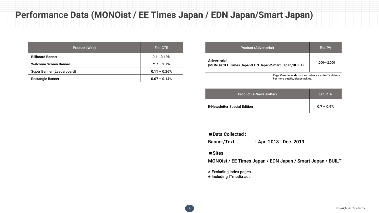## **Performance Data (MONOist / EE Times Japan / EDN Japan/Smart Japan)**

| Product (Web)              | Est. CTR       |
|----------------------------|----------------|
| <b>Billboard Banner</b>    | $0.1 - 0.19%$  |
| Welcome Screen Banner      | $2.7 - 3.7%$   |
| Super Banner (Leaderboard) | $0.11 - 0.26%$ |
| <b>Rectangle Banner</b>    | $0.07 - 0.14%$ |

| <b>Product (Advertorial)</b>                                                               | <b>Est. PV</b>     |
|--------------------------------------------------------------------------------------------|--------------------|
| Advertorial<br>(MONOist/EE Times Japan/EDN Japan/Smart Japan/BUILT)                        | $1.000 \sim 2.000$ |
| Page View depends on the contents and traffic drivers.<br>For more details, please ask us. |                    |

| <b>Product (e-Newslewtter)</b>      | Est. CTR     |
|-------------------------------------|--------------|
| <b>E-Newsletter Special Edition</b> | $0.7 - 0.9%$ |

■ Data Collected :

Banner/Text : Apr. 2018 - Dec. 2019

#### ■Sites

MONOist / EE Times Japan / EDN Japan / Smart Japan / BUILT

※ Excluding index pages

※ Including ITmedia ads